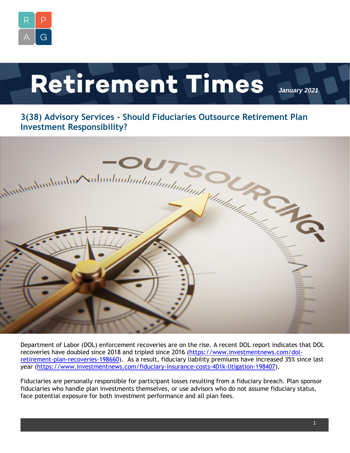

# **Retirement Times**

*January 2021*

## **3(38) Advisory Services - Should Fiduciaries Outsource Retirement Plan**



Department of Labor (DOL) enforcement recoveries are on the rise. A recent DOL report indicates that DOL recoveries have doubled since 2018 and tripled since 2016 [\(https://www.investmentnews.com/dol](https://www.investmentnews.com/dol-retirement-plan-recoveries-198660)[retirement-plan-recoveries-198660\)](https://www.investmentnews.com/dol-retirement-plan-recoveries-198660). As a result, fiduciary liability premiums have increased 35% since last year [\(https://www.investmentnews.com/fiduciary-insurance-costs-401k-litigation-198407\)](https://www.investmentnews.com/fiduciary-insurance-costs-401k-litigation-198407).

Fiduciaries are personally responsible for participant losses resulting from a fiduciary breach. Plan sponsor fiduciaries who handle plan investments themselves, or use advisors who do not assume fiduciary status, face potential exposure for both investment performance and all plan fees.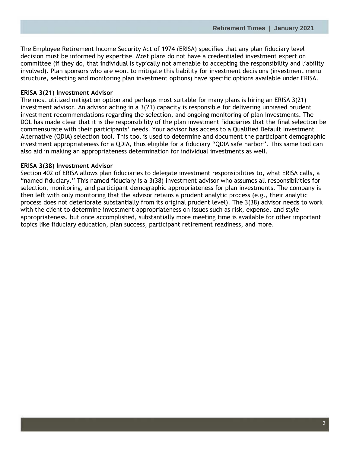The Employee Retirement Income Security Act of 1974 (ERISA) specifies that any plan fiduciary level decision must be informed by expertise. Most plans do not have a credentialed investment expert on committee (if they do, that individual is typically not amenable to accepting the responsibility and liability involved). Plan sponsors who are wont to mitigate this liability for investment decisions (investment menu structure, selecting and monitoring plan investment options) have specific options available under ERISA.

#### **ERISA 3(21) Investment Advisor**

The most utilized mitigation option and perhaps most suitable for many plans is hiring an ERISA 3(21) investment advisor. An advisor acting in a 3(21) capacity is responsible for delivering unbiased prudent investment recommendations regarding the selection, and ongoing monitoring of plan investments. The DOL has made clear that it is the responsibility of the plan investment fiduciaries that the final selection be commensurate with their participants' needs. Your advisor has access to a Qualified Default Investment Alternative (QDIA) selection tool. This tool is used to determine and document the participant demographic investment appropriateness for a QDIA, thus eligible for a fiduciary "QDIA safe harbor". This same tool can also aid in making an appropriateness determination for individual investments as well.

#### **ERISA 3(38) Investment Advisor**

Section 402 of ERISA allows plan fiduciaries to delegate investment responsibilities to, what ERISA calls, a "named fiduciary." This named fiduciary is a 3(38) investment advisor who assumes all responsibilities for selection, monitoring, and participant demographic appropriateness for plan investments. The company is then left with only monitoring that the advisor retains a prudent analytic process (e.g., their analytic process does not deteriorate substantially from its original prudent level). The 3(38) advisor needs to work with the client to determine investment appropriateness on issues such as risk, expense, and style appropriateness, but once accomplished, substantially more meeting time is available for other important topics like fiduciary education, plan success, participant retirement readiness, and more.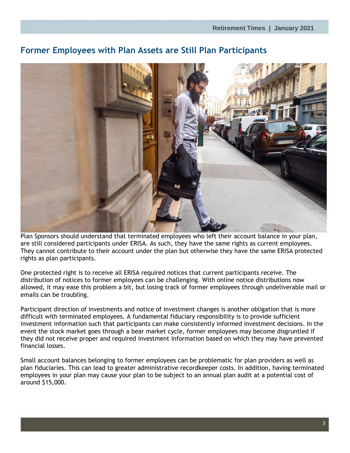### **Former Employees with Plan Assets are Still Plan Participants**

Plan Sponsors should understand that terminated employees who left their account balance in your plan, are still considered participants under ERISA. As such, they have the same rights as current employees. They cannot contribute to their account under the plan but otherwise they have the same ERISA protected rights as plan participants.

One protected right is to receive all ERISA required notices that current participants receive. The distribution of notices to former employees can be challenging. With online notice distributions now allowed, it may ease this problem a bit, but losing track of former employees through undeliverable mail or emails can be troubling.

Participant direction of investments and notice of investment changes is another obligation that is more difficult with terminated employees. A fundamental fiduciary responsibility is to provide sufficient investment information such that participants can make consistently informed investment decisions. In the event the stock market goes through a bear market cycle, former employees may become disgruntled if they did not receive proper and required investment information based on which they may have prevented financial losses.

Small account balances belonging to former employees can be problematic for plan providers as well as plan fiduciaries. This can lead to greater administrative recordkeeper costs. In addition, having terminated employees in your plan may cause your plan to be subject to an annual plan audit at a potential cost of around \$15,000.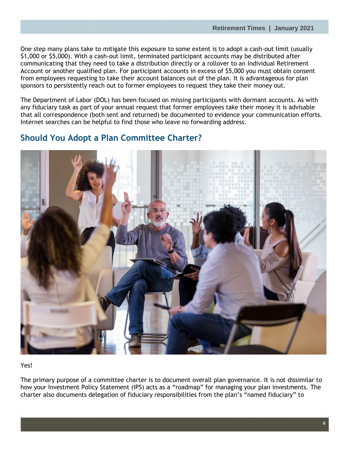One step many plans take to mitigate this exposure to some extent is to adopt a cash-out limit (usually \$1,000 or \$5,000). With a cash-out limit, terminated participant accounts may be distributed after communicating that they need to take a distribution directly or a rollover to an Individual Retirement Account or another qualified plan. For participant accounts in excess of \$5,000 you must obtain consent from employees requesting to take their account balances out of the plan. It is advantageous for plan sponsors to persistently reach out to former employees to request they take their money out.

The Department of Labor (DOL) has been focused on missing participants with dormant accounts. As with any fiduciary task as part of your annual request that former employees take their money it is advisable that all correspondence (both sent and returned) be documented to evidence your communication efforts. Internet searches can be helpful to find those who leave no forwarding address.

#### **Should You Adopt a Plan Committee Charter?**



#### Yes!

The primary purpose of a committee charter is to document overall plan governance. It is not dissimilar to how your Investment Policy Statement (IPS) acts as a "roadmap" for managing your plan investments. The charter also documents delegation of fiduciary responsibilities from the plan's "named fiduciary" to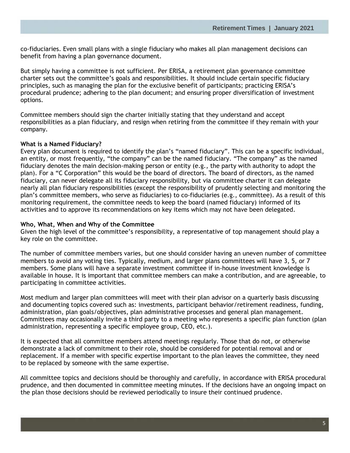co-fiduciaries. Even small plans with a single fiduciary who makes all plan management decisions can benefit from having a plan governance document.

But simply having a committee is not sufficient. Per ERISA, a retirement plan governance committee charter sets out the committee's goals and responsibilities. It should include certain specific fiduciary principles, such as managing the plan for the exclusive benefit of participants; practicing ERISA's procedural prudence; adhering to the plan document; and ensuring proper diversification of investment options.

Committee members should sign the charter initially stating that they understand and accept responsibilities as a plan fiduciary, and resign when retiring from the committee if they remain with your company.

#### **What is a Named Fiduciary?**

Every plan document is required to identify the plan's "named fiduciary". This can be a specific individual, an entity, or most frequently, "the company" can be the named fiduciary. "The company" as the named fiduciary denotes the main decision-making person or entity (e.g., the party with authority to adopt the plan). For a "C Corporation" this would be the board of directors. The board of directors, as the named fiduciary, can never delegate all its fiduciary responsibility, but via committee charter it can delegate nearly all plan fiduciary responsibilities (except the responsibility of prudently selecting and monitoring the plan's committee members, who serve as fiduciaries) to co-fiduciaries (e.g., committee). As a result of this monitoring requirement, the committee needs to keep the board (named fiduciary) informed of its activities and to approve its recommendations on key items which may not have been delegated.

#### **Who, What, When and Why of the Committee**

Given the high level of the committee's responsibility, a representative of top management should play a key role on the committee.

The number of committee members varies, but one should consider having an uneven number of committee members to avoid any voting ties. Typically, medium, and larger plans committees will have 3, 5, or 7 members. Some plans will have a separate investment committee if in-house investment knowledge is available in house. It is important that committee members can make a contribution, and are agreeable, to participating in committee activities.

Most medium and larger plan committees will meet with their plan advisor on a quarterly basis discussing and documenting topics covered such as: investments, participant behavior/retirement readiness, funding, administration, plan goals/objectives, plan administrative processes and general plan management. Committees may occasionally invite a third party to a meeting who represents a specific plan function (plan administration, representing a specific employee group, CEO, etc.).

It is expected that all committee members attend meetings regularly. Those that do not, or otherwise demonstrate a lack of commitment to their role, should be considered for potential removal and or replacement. If a member with specific expertise important to the plan leaves the committee, they need to be replaced by someone with the same expertise.

All committee topics and decisions should be thoroughly and carefully, in accordance with ERISA procedural prudence, and then documented in committee meeting minutes. If the decisions have an ongoing impact on the plan those decisions should be reviewed periodically to insure their continued prudence.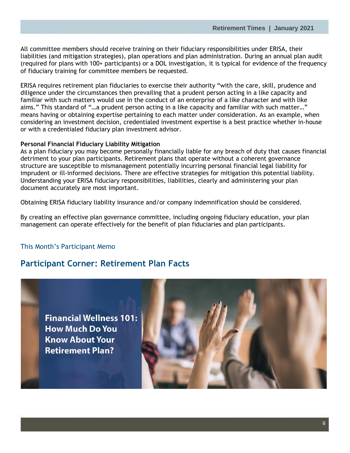All committee members should receive training on their fiduciary responsibilities under ERISA, their liabilities (and mitigation strategies), plan operations and plan administration. During an annual plan audit (required for plans with 100+ participants) or a DOL investigation, it is typical for evidence of the frequency of fiduciary training for committee members be requested.

ERISA requires retirement plan fiduciaries to exercise their authority "with the care, skill, prudence and diligence under the circumstances then prevailing that a prudent person acting in a like capacity and familiar with such matters would use in the conduct of an enterprise of a like character and with like aims." This standard of "…a prudent person acting in a like capacity and familiar with such matter…" means having or obtaining expertise pertaining to each matter under consideration. As an example, when considering an investment decision, credentialed investment expertise is a best practice whether in-house or with a credentialed fiduciary plan investment advisor.

#### **Personal Financial Fiduciary Liability Mitigation**

As a plan fiduciary you may become personally financially liable for any breach of duty that causes financial detriment to your plan participants. Retirement plans that operate without a coherent governance structure are susceptible to mismanagement potentially incurring personal financial legal liability for imprudent or ill-informed decisions. There are effective strategies for mitigation this potential liability. Understanding your ERISA fiduciary responsibilities, liabilities, clearly and administering your plan document accurately are most important.

Obtaining ERISA fiduciary liability insurance and/or company indemnification should be considered.

By creating an effective plan governance committee, including ongoing fiduciary education, your plan management can operate effectively for the benefit of plan fiduciaries and plan participants.

#### This Month's Participant Memo

#### **Participant Corner: Retirement Plan Facts**

**Financial Wellness 101: How Much Do You Know About Your Retirement Plan?**